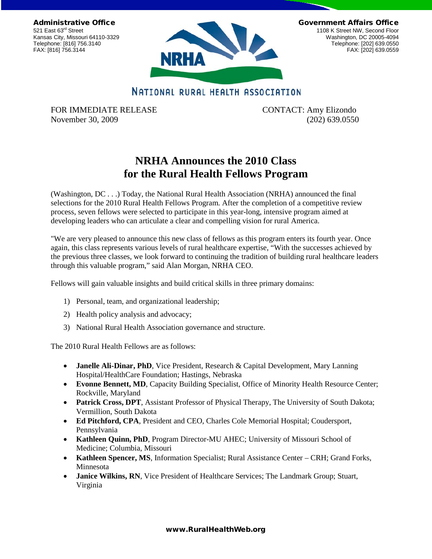Administrative Office 521 East 63<sup>rd</sup> Street Kansas City, Missouri 64110-3329 Telephone: [816] 756.3140 FAX: [816] 756.3144



Government Affairs Office

1108 K Street NW, Second Floor Washington, DC 20005-4094 Telephone: [202] 639.0550 FAX: [202] 639.0559

## NATIONAL RURAL HEALTH ASSOCIATION

FOR IMMEDIATE RELEASE CONTACT: Amy Elizondo November 30, 2009 (202) 639.0550

## **NRHA Announces the 2010 Class for the Rural Health Fellows Program**

(Washington, DC . . .) Today, the National Rural Health Association (NRHA) announced the final selections for the 2010 Rural Health Fellows Program. After the completion of a competitive review process, seven fellows were selected to participate in this year-long, intensive program aimed at developing leaders who can articulate a clear and compelling vision for rural America.

"We are very pleased to announce this new class of fellows as this program enters its fourth year. Once again, this class represents various levels of rural healthcare expertise, "With the successes achieved by the previous three classes, we look forward to continuing the tradition of building rural healthcare leaders through this valuable program," said Alan Morgan, NRHA CEO.

Fellows will gain valuable insights and build critical skills in three primary domains:

- 1) Personal, team, and organizational leadership;
- 2) Health policy analysis and advocacy;
- 3) National Rural Health Association governance and structure.

The 2010 Rural Health Fellows are as follows:

- **Janelle Ali-Dinar, PhD**, Vice President, Research & Capital Development, Mary Lanning Hospital/HealthCare Foundation; Hastings, Nebraska
- **Evonne Bennett, MD**, Capacity Building Specialist, Office of Minority Health Resource Center; Rockville, Maryland
- **Patrick Cross, DPT**, Assistant Professor of Physical Therapy, The University of South Dakota; Vermillion, South Dakota
- **Ed Pitchford, CPA**, President and CEO, Charles Cole Memorial Hospital; Coudersport, Pennsylvania
- **Kathleen Quinn, PhD**, Program Director-MU AHEC; University of Missouri School of Medicine; Columbia, Missouri
- **Kathleen Spencer, MS**, Information Specialist; Rural Assistance Center CRH; Grand Forks, Minnesota
- **Janice Wilkins, RN**, Vice President of Healthcare Services; The Landmark Group; Stuart, Virginia